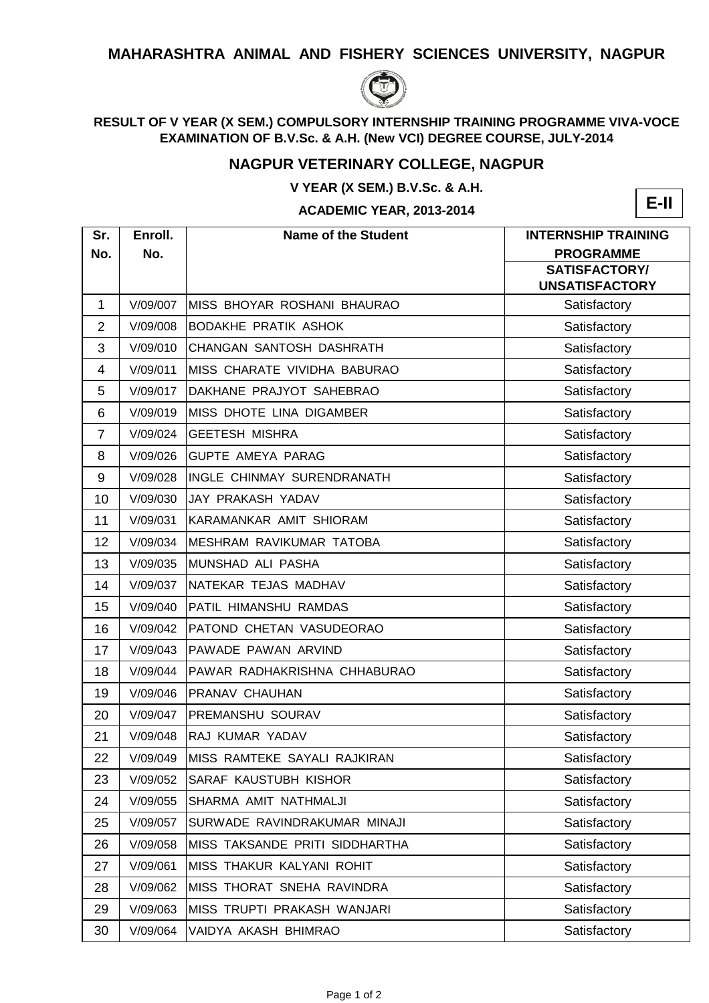## **MAHARASHTRA ANIMAL AND FISHERY SCIENCES UNIVERSITY, NAGPUR**



## **RESULT OF V YEAR (X SEM.) COMPULSORY INTERNSHIP TRAINING PROGRAMME VIVA-VOCE EXAMINATION OF B.V.Sc. & A.H. (New VCI) DEGREE COURSE, JULY-2014**

## **NAGPUR VETERINARY COLLEGE, NAGPUR**

**V YEAR (X SEM.) B.V.Sc. & A.H.**

**ACADEMIC YEAR, 2013-2014**



| Sr.            | Enroll.  | <b>Name of the Student</b>           | <b>INTERNSHIP TRAINING</b>                    |
|----------------|----------|--------------------------------------|-----------------------------------------------|
| No.            | No.      |                                      | <b>PROGRAMME</b>                              |
|                |          |                                      | <b>SATISFACTORY/</b><br><b>UNSATISFACTORY</b> |
| 1              | V/09/007 | IMISS BHOYAR ROSHANI BHAURAO         | Satisfactory                                  |
| $\overline{2}$ | V/09/008 | <b>BODAKHE PRATIK ASHOK</b>          | Satisfactory                                  |
| 3              | V/09/010 | CHANGAN SANTOSH DASHRATH             | Satisfactory                                  |
| 4              | V/09/011 | <b>IMISS CHARATE VIVIDHA BABURAO</b> | Satisfactory                                  |
| 5              | V/09/017 | DAKHANE PRAJYOT SAHEBRAO             | Satisfactory                                  |
| 6              | V/09/019 | <b>MISS DHOTE LINA DIGAMBER</b>      | Satisfactory                                  |
| $\overline{7}$ | V/09/024 | <b>GEETESH MISHRA</b>                | Satisfactory                                  |
| 8              | V/09/026 | <b>GUPTE AMEYA PARAG</b>             | Satisfactory                                  |
| 9              | V/09/028 | IINGLE CHINMAY SURENDRANATH          | Satisfactory                                  |
| 10             | V/09/030 | IJAY PRAKASH YADAV                   | Satisfactory                                  |
| 11             | V/09/031 | KARAMANKAR AMIT SHIORAM              | Satisfactory                                  |
| 12             | V/09/034 | <b>IMESHRAM RAVIKUMAR TATOBA</b>     | Satisfactory                                  |
| 13             | V/09/035 | MUNSHAD ALI PASHA                    | Satisfactory                                  |
| 14             | V/09/037 | NATEKAR TEJAS MADHAV                 | Satisfactory                                  |
| 15             | V/09/040 | <b>PATIL HIMANSHU RAMDAS</b>         | Satisfactory                                  |
| 16             | V/09/042 | PATOND CHETAN VASUDEORAO             | Satisfactory                                  |
| 17             | V/09/043 | PAWADE PAWAN ARVIND                  | Satisfactory                                  |
| 18             | V/09/044 | PAWAR RADHAKRISHNA CHHABURAO         | Satisfactory                                  |
| 19             | V/09/046 | <b>PRANAV CHAUHAN</b>                | Satisfactory                                  |
| 20             | V/09/047 | <b>PREMANSHU SOURAV</b>              | Satisfactory                                  |
| 21             | V/09/048 | <b>RAJ KUMAR YADAV</b>               | Satisfactory                                  |
| 22             | V/09/049 | MISS RAMTEKE SAYALI RAJKIRAN         | Satisfactory                                  |
| 23             | V/09/052 | <b>SARAF KAUSTUBH KISHOR</b>         | Satisfactory                                  |
| 24             | V/09/055 | SHARMA AMIT NATHMALJI                | Satisfactory                                  |
| 25             | V/09/057 | SURWADE RAVINDRAKUMAR MINAJI         | Satisfactory                                  |
| 26             | V/09/058 | MISS TAKSANDE PRITI SIDDHARTHA       | Satisfactory                                  |
| 27             | V/09/061 | MISS THAKUR KALYANI ROHIT            | Satisfactory                                  |
| 28             | V/09/062 | <b>IMISS THORAT SNEHA RAVINDRA</b>   | Satisfactory                                  |
| 29             | V/09/063 | MISS TRUPTI PRAKASH WANJARI          | Satisfactory                                  |
| 30             | V/09/064 | VAIDYA AKASH BHIMRAO                 | Satisfactory                                  |